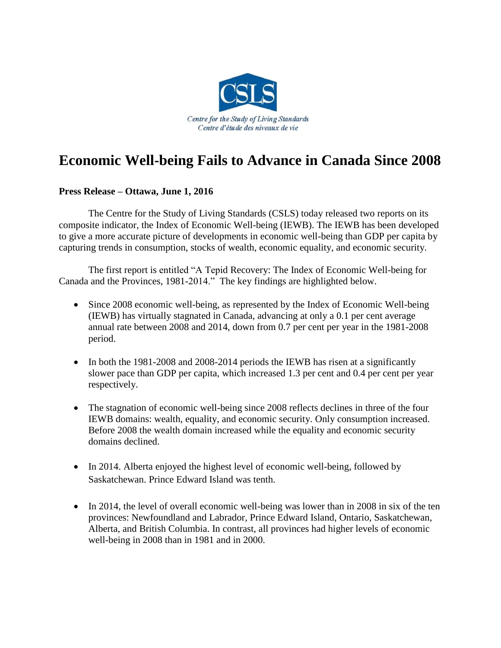

## **Economic Well-being Fails to Advance in Canada Since 2008**

## **Press Release – Ottawa, June 1, 2016**

The Centre for the Study of Living Standards (CSLS) today released two reports on its composite indicator, the Index of Economic Well-being (IEWB). The IEWB has been developed to give a more accurate picture of developments in economic well-being than GDP per capita by capturing trends in consumption, stocks of wealth, economic equality, and economic security.

The first report is entitled "A Tepid Recovery: The Index of Economic Well-being for Canada and the Provinces, 1981-2014." The key findings are highlighted below.

- Since 2008 economic well-being, as represented by the Index of Economic Well-being (IEWB) has virtually stagnated in Canada, advancing at only a 0.1 per cent average annual rate between 2008 and 2014, down from 0.7 per cent per year in the 1981-2008 period.
- In both the 1981-2008 and 2008-2014 periods the IEWB has risen at a significantly slower pace than GDP per capita, which increased 1.3 per cent and 0.4 per cent per year respectively.
- The stagnation of economic well-being since 2008 reflects declines in three of the four IEWB domains: wealth, equality, and economic security. Only consumption increased. Before 2008 the wealth domain increased while the equality and economic security domains declined.
- In 2014. Alberta enjoyed the highest level of economic well-being, followed by Saskatchewan. Prince Edward Island was tenth.
- In 2014, the level of overall economic well-being was lower than in 2008 in six of the ten provinces: Newfoundland and Labrador, Prince Edward Island, Ontario, Saskatchewan, Alberta, and British Columbia. In contrast, all provinces had higher levels of economic well-being in 2008 than in 1981 and in 2000.